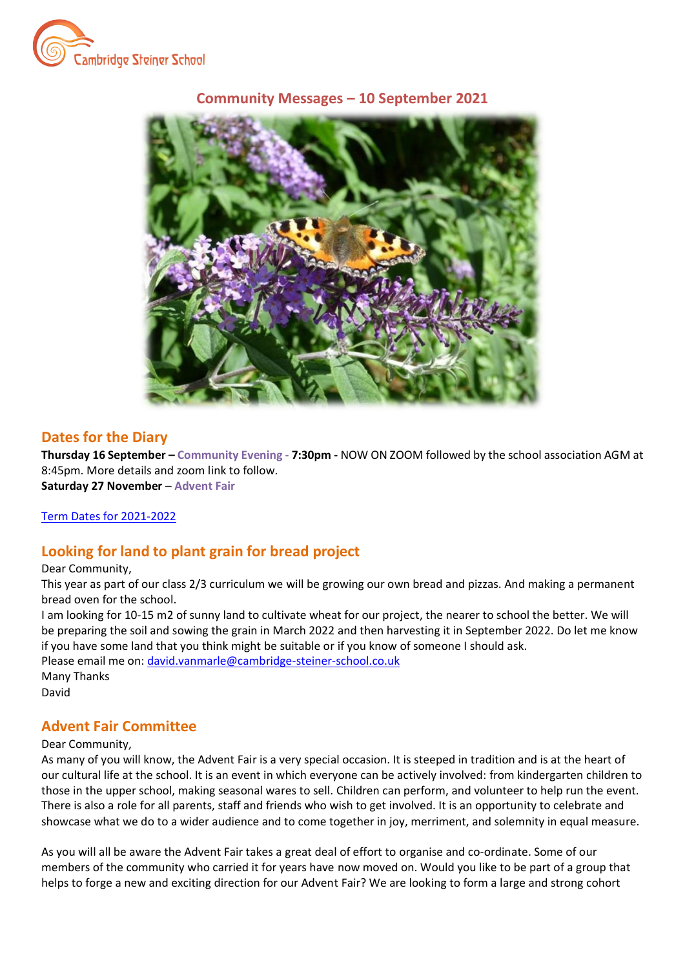

## **Community Messages – 10 September 2021**



## **Dates for the Diary**

**Thursday 16 September – Community Evening - 7:30pm -** NOW ON ZOOM followed by the school association AGM at 8:45pm. More details and zoom link to follow. **Saturday 27 November** – **Advent Fair**

### Term Dates for 2021-2022

## **Looking for land to plant grain for bread project**

#### Dear Community,

This year as part of our class 2/3 curriculum we will be growing our own bread and pizzas. And making a permanent bread oven for the school.

I am looking for 10-15 m2 of sunny land to cultivate wheat for our project, the nearer to school the better. We will be preparing the soil and sowing the grain in March 2022 and then harvesting it in September 2022. Do let me know if you have some land that you think might be suitable or if you know of someone I should ask. Please email me on: [david.vanmarle@cambridge-steiner-school.co.uk](mailto:david.vanmarle@cambridge-steiner-school.co.uk)

Many Thanks David

# **Advent Fair Committee**

#### Dear Community,

As many of you will know, the Advent Fair is a very special occasion. It is steeped in tradition and is at the heart of our cultural life at the school. It is an event in which everyone can be actively involved: from kindergarten children to those in the upper school, making seasonal wares to sell. Children can perform, and volunteer to help run the event. There is also a role for all parents, staff and friends who wish to get involved. It is an opportunity to celebrate and showcase what we do to a wider audience and to come together in joy, merriment, and solemnity in equal measure.

As you will all be aware the Advent Fair takes a great deal of effort to organise and co-ordinate. Some of our members of the community who carried it for years have now moved on. Would you like to be part of a group that helps to forge a new and exciting direction for our Advent Fair? We are looking to form a large and strong cohort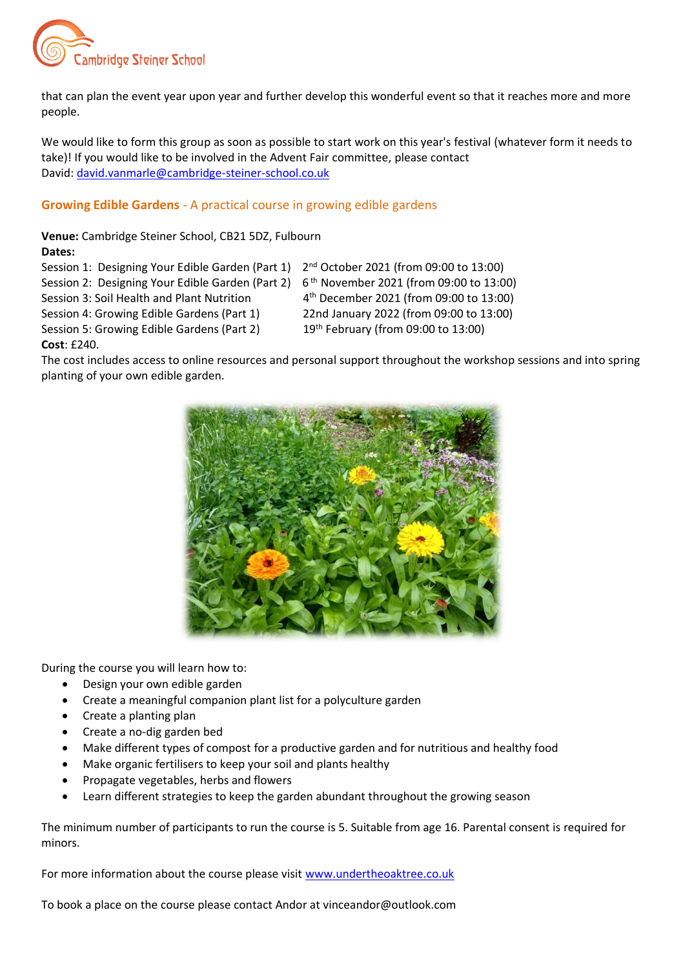

that can plan the event year upon year and further develop this wonderful event so that it reaches more and more people.

We would like to form this group as soon as possible to start work on this year's festival (whatever form it needs to take)! If you would like to be involved in the Advent Fair committee, please contact David: [david.vanmarle@cambridge-steiner-school.co.uk](mailto:david.vanmarle@cambridge-steiner-school.co.uk)

## **Growing Edible Gardens** - A practical course in growing edible gardens

**Venue:** Cambridge Steiner School, CB21 5DZ, Fulbourn **Dates:** 

- Session 1: Designing Your Edible Garden (Part 1) 2nd October 2021 (from 09:00 to 13:00)
- Session 2: Designing Your Edible Garden (Part 2) 6<sup>th</sup> November 2021 (from 09:00 to 13:00)

Session 3: Soil Health and Plant Nutrition 4th December 2021 (from 09:00 to 13:00)

- Session 4: Growing Edible Gardens (Part 1) 22nd January 2022 (from 09:00 to 13:00)
- 
- 
- -

Session 5: Growing Edible Gardens (Part 2) 19th February (from 09:00 to 13:00) **Cost**: £240.

The cost includes access to online resources and personal support throughout the workshop sessions and into spring planting of your own edible garden.



During the course you will learn how to:

- Design your own edible garden
- Create a meaningful companion plant list for a polyculture garden
- Create a planting plan
- Create a no-dig garden bed
- Make different types of compost for a productive garden and for nutritious and healthy food
- Make organic fertilisers to keep your soil and plants healthy
- Propagate vegetables, herbs and flowers
- Learn different strategies to keep the garden abundant throughout the growing season

The minimum number of participants to run the course is 5. Suitable from age 16. Parental consent is required for minors.

For more information about the course please visit [www.undertheoaktree.co.uk](http://www.undertheoaktree.co.uk/)

To book a place on the course please contact Andor at vinceandor@outlook.com